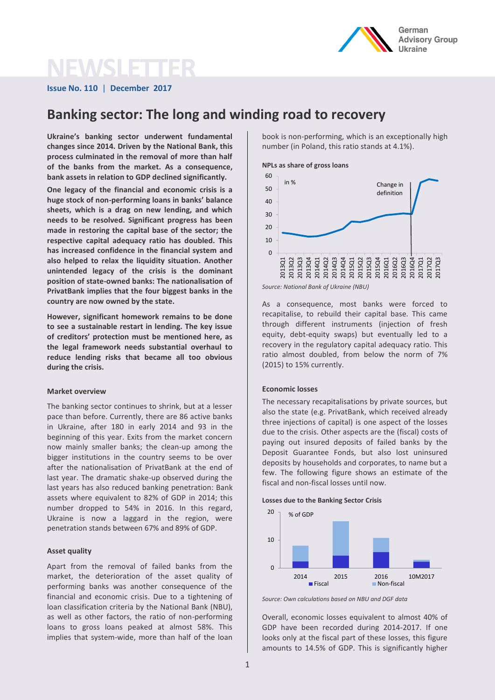

# **NEWS**

**Issue No. 110** | **December 2017**

# **Banking sector: The long and winding road to recovery**

**Ukraine's banking sector underwent fundamental changes since 2014. Driven by the National Bank, this process culminated in the removal of more than half of the banks from the market. As a consequence, bank assets in relation to GDP declined significantly.**

**One legacy of the financial and economic crisis is a huge stock of non-performing loans in banks' balance sheets, which is a drag on new lending, and which needs to be resolved. Significant progress has been made in restoring the capital base of the sector; the respective capital adequacy ratio has doubled. This has increased confidence in the financial system and also helped to relax the liquidity situation. Another unintended legacy of the crisis is the dominant position of state-owned banks: The nationalisation of PrivatBank implies that the four biggest banks in the country are now owned by the state.**

**However, significant homework remains to be done to see a sustainable restart in lending. The key issue of creditors' protection must be mentioned here, as the legal framework needs substantial overhaul to reduce lending risks that became all too obvious during the crisis.**

#### **Market overview**

The banking sector continues to shrink, but at a lesser pace than before. Currently, there are 86 active banks in Ukraine, after 180 in early 2014 and 93 in the beginning of this year. Exits from the market concern now mainly smaller banks; the clean-up among the bigger institutions in the country seems to be over after the nationalisation of PrivatBank at the end of last year. The dramatic shake-up observed during the last years has also reduced banking penetration: Bank assets where equivalent to 82% of GDP in 2014; this number dropped to 54% in 2016. In this regard, Ukraine is now a laggard in the region, were penetration stands between 67% and 89% of GDP.

## **Asset quality**

Apart from the removal of failed banks from the market, the deterioration of the asset quality of performing banks was another consequence of the financial and economic crisis. Due to a tightening of loan classification criteria by the National Bank (NBU), as well as other factors, the ratio of non-performing loans to gross loans peaked at almost 58%. This implies that system-wide, more than half of the loan

book is non-performing, which is an exceptionally high number (in Poland, this ratio stands at 4.1%).

#### **NPLs as share of gross loans**



*Source: National Bank of Ukraine (NBU)*

As a consequence, most banks were forced to recapitalise, to rebuild their capital base. This came through different instruments (injection of fresh equity, debt-equity swaps) but eventually led to a recovery in the regulatory capital adequacy ratio. This ratio almost doubled, from below the norm of 7% (2015) to 15% currently.

#### **Economic losses**

The necessary recapitalisations by private sources, but also the state (e.g. PrivatBank, which received already three injections of capital) is one aspect of the losses due to the crisis. Other aspects are the (fiscal) costs of paying out insured deposits of failed banks by the Deposit Guarantee Fonds, but also lost uninsured deposits by households and corporates, to name but a few. The following figure shows an estimate of the fiscal and non-fiscal losses until now.

**Losses due to the Banking Sector Crisis** 



*Source: Own calculations based on NBU and DGF data*

Overall, economic losses equivalent to almost 40% of GDP have been recorded during 2014-2017. If one looks only at the fiscal part of these losses, this figure amounts to 14.5% of GDP. This is significantly higher